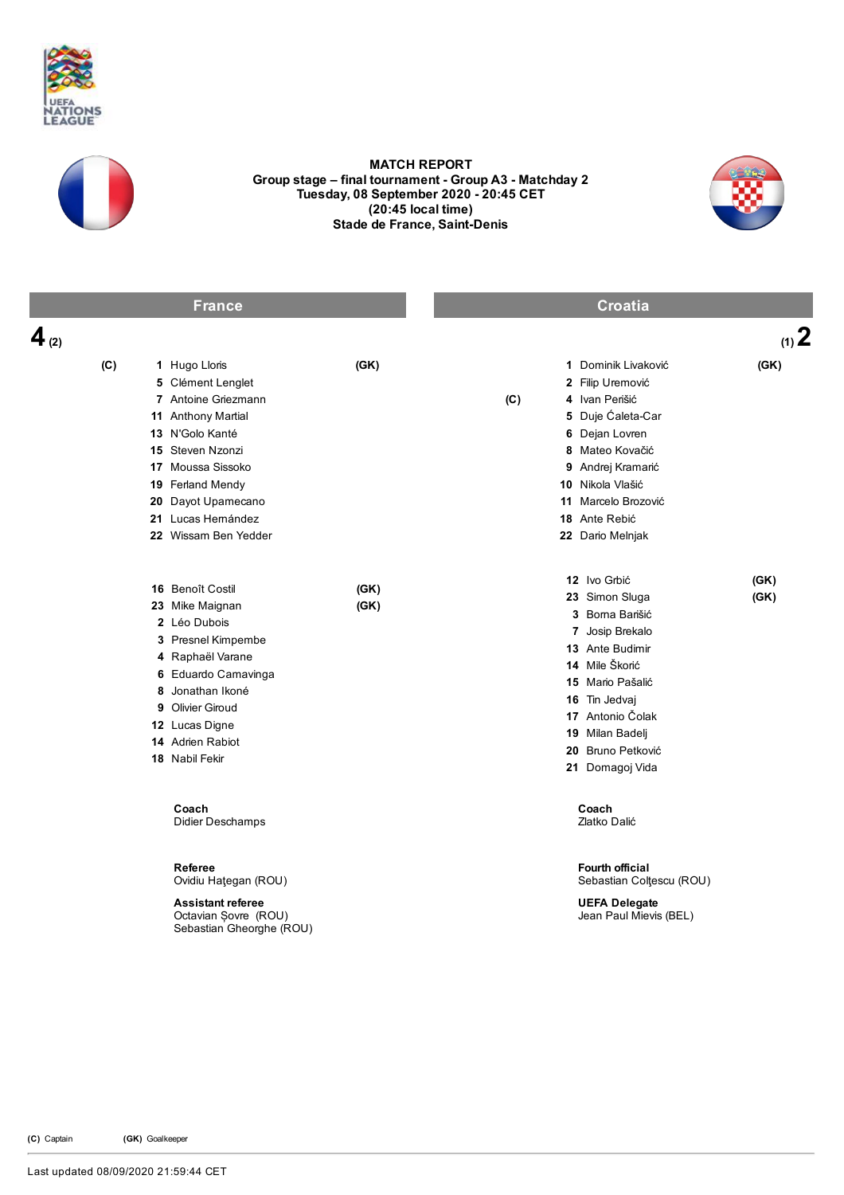



## MATCH REPORT Group stage – final tournament - Group A3 - Matchday 2 Tuesday, 08 September 2020 - 20:45 CET (20:45 local time) Stade de France, Saint-Denis



| <b>France</b> |                                                                                                                                                                                                                                    |              | <b>Croatia</b> |                                                                                                                                                                                                                              |              |  |
|---------------|------------------------------------------------------------------------------------------------------------------------------------------------------------------------------------------------------------------------------------|--------------|----------------|------------------------------------------------------------------------------------------------------------------------------------------------------------------------------------------------------------------------------|--------------|--|
| $4_{(2)}$     |                                                                                                                                                                                                                                    |              |                |                                                                                                                                                                                                                              | $(1)$ 2      |  |
| (C)           | 1 Hugo Lloris<br>5 Clément Lenglet<br>7 Antoine Griezmann<br>11 Anthony Martial<br>13 N'Golo Kanté<br>15 Steven Nzonzi<br>17 Moussa Sissoko<br>19 Ferland Mendy<br>20 Dayot Upamecano<br>21 Lucas Hemández<br>22 Wissam Ben Yedder | (GK)         | (C)            | 1 Dominik Livaković<br>2 Filip Uremović<br>4 Ivan Perišić<br>5 Duje Ćaleta-Car<br>6 Dejan Lovren<br>8 Mateo Kovačić<br>9 Andrej Kramarić<br>10 Nikola Vlašić<br>11 Marcelo Brozović<br>18 Ante Rebić<br>22 Dario Melnjak     | (GK)         |  |
|               | 16 Benoît Costil<br>23 Mike Maignan<br>2 Léo Dubois<br>3 Presnel Kimpembe<br>4 Raphaël Varane<br>6 Eduardo Camavinga<br>8 Jonathan Ikoné<br>9 Olivier Giroud<br>12 Lucas Digne<br>14 Adrien Rabiot<br>18 Nabil Fekir               | (GK)<br>(GK) |                | 12 Ivo Grbić<br>23 Simon Sluga<br>3 Boma Barišić<br>7 Josip Brekalo<br>13 Ante Budimir<br>14 Mile Škorić<br>15 Mario Pašalić<br>16 Tin Jedvai<br>17 Antonio Čolak<br>19 Milan Badelj<br>20 Bruno Petković<br>21 Domagoj Vida | (GK)<br>(GK) |  |
|               | Coach<br>Didier Deschamps                                                                                                                                                                                                          |              |                | Coach<br>Zlatko Dalić                                                                                                                                                                                                        |              |  |
|               | Referee<br>Ovidiu Haţegan (ROU)<br><b>Assistant referee</b><br>Octavian Şovre (ROU)<br>Sebastian Gheorghe (ROU)                                                                                                                    |              |                | <b>Fourth official</b><br>Sebastian Coltescu (ROU)<br><b>UEFA Delegate</b><br>Jean Paul Mievis (BEL)                                                                                                                         |              |  |